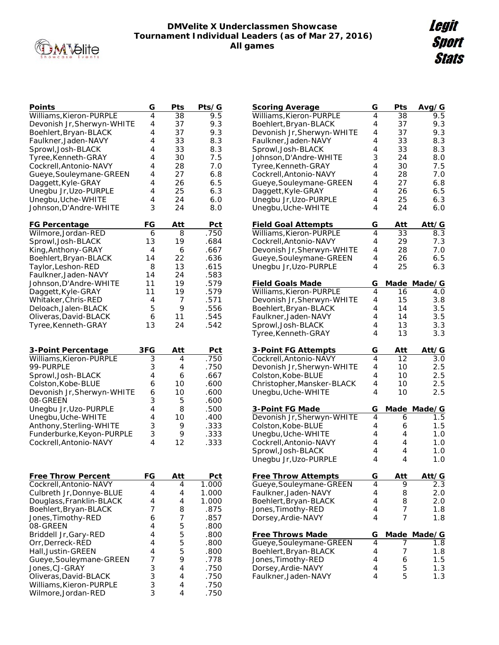

## **DMVelite X Underclassmen Showcase Tournament Individual Leaders (as of Mar 27, 2016) All games**

| Points                     | G              | Pts | Pts/G |
|----------------------------|----------------|-----|-------|
| Williams, Kieron-PURPLE    | 4              | 38  | 9.5   |
| Devonish Jr, Sherwyn-WHITE | 4              | 37  | 9.3   |
| Boehlert, Bryan-BLACK      | 4              | 37  | 9.3   |
| Faulkner, Jaden-NAVY       | 4              | 33  | 8.3   |
| Sprowl, Josh-BLACK         | 4              | 33  | 8.3   |
| Tyree, Kenneth-GRAY        | 4              | 30  | 7.5   |
| Cockrell, Antonio-NAVY     | 4              | 28  | 7.0   |
| Gueye, Souleymane-GREEN    | 4              | 27  | 6.8   |
| Daggett, Kyle-GRAY         | 4              | 26  | 6.5   |
| Unegbu Jr, Uzo-PURPLE      | 4              | 25  | 6.3   |
| Unegbu, Uche-WHITE         | 4              | 24  | 6.0   |
| Johnson, D'Andre-WHITE     | 3              | 24  | 8.0   |
|                            |                |     |       |
| FG Percentage              | FG             | Att | Pct   |
| Wilmore, Jordan-RED        | 6              | 8   | .750  |
| Sprowl, Josh-BLACK         | 13             | 19  | .684  |
| King, Anthony-GRAY         | 4              | 6   | .667  |
| Boehlert, Bryan-BLACK      | 14             | 22  | .636  |
| Taylor, Leshon-RED         | 8              | 13  | .615  |
| Faulkner, Jaden-NAVY       | 14             | 24  | .583  |
| Johnson, D'Andre-WHITE     | 11             | 19  | .579  |
| Daggett, Kyle-GRAY         | 11             | 19  | .579  |
| Whitaker, Chris-RED        | 4              | 7   | .571  |
| Deloach, Jalen-BLACK       | 5              | 9   | .556  |
| Oliveras, David-BLACK      | 6              | 11  | .545  |
| Tyree, Kenneth-GRAY        | 13             | 24  | .542  |
|                            |                |     |       |
| 3-Point Percentage         | 3FG            | Att | Pct   |
| Williams, Kieron-PURPLE    | 3              | 4   | .750  |
| 99-PURPLE                  | 3              | 4   | .750  |
| Sprowl, Josh-BLACK         | 4              | 6   | .667  |
| Colston, Kobe-BLUE         | 6              | 10  | .600  |
| Devonish Jr, Sherwyn-WHITE | 6              | 10  | .600  |
| 08-GREEN                   | 3              | 5   | .600  |
| Unegbu Jr, Uzo-PURPLE      | 4              | 8   | .500  |
| Unegbu, Uche-WHITE         | 4              | 10  | .400  |
| Anthony, Sterling-WHITE    | 3              | 9   | .333  |
| Funderburke, Keyon-PURPLE  | 3              | 9   | .333  |
| Cockrell, Antonio-NAVY     | 4              | 12  | .333  |
|                            |                |     |       |
|                            |                |     |       |
|                            |                |     |       |
| Free Throw Percent         | FG             | Att | Pct   |
| Cockrell, Antonio-NAVY     | 4              | 4   | 1.000 |
| Culbreth Jr, Donnye-BLUE   | 4              | 4   | 1.000 |
| Douglass, Franklin-BLACK   | $\overline{4}$ | 4   | 1.000 |
| Boehlert, Bryan-BLACK      | 7              | 8   | .875  |
| Jones, Timothy-RED         | 6              | 7   | .857  |
| 08-GREEN                   | 4              | 5   | .800  |
| Briddell Jr, Gary-RED      | $\overline{4}$ | 5   | .800  |
| Orr, Derreck-RED           | 4              | 5   | .800  |
| Hall, Justin-GREEN         | 4              | 5   | .800  |
| Gueye, Souleymane-GREEN    | $\overline{7}$ | 9   | .778  |
| Jones, CJ-GRAY             | 3              | 4   | .750  |
| Oliveras, David-BLACK      | 3              | 4   | .750  |
| Williams, Kieron-PURPLE    | 3              | 4   | .750  |
| Wilmore, Jordan-RED        | 3              | 4   | .750  |

| Scoring Average                            | G      | Pts         | Avg/G         |
|--------------------------------------------|--------|-------------|---------------|
| Williams, Kieron-PURPLE                    | 4      | 38          | 9.5           |
| Boehlert, Bryan-BLACK                      | 4      | 37          | 9.3           |
| Devonish Jr, Sherwyn-WHITE                 | 4      | 37          | 9.3           |
| Faulkner, Jaden-NAVY                       | 4      | 33          | 8.3           |
| Sprowl, Josh-BLACK                         | 4      | 33          | 8.3           |
| Johnson, D'Andre-WHITE                     | 3      | 24          | 8.0           |
| Tyree, Kenneth-GRAY                        | 4      | 30          | 7.5           |
| Cockrell, Antonio-NAVY                     | 4      | 28          | 7.0           |
| Gueye, Souleymane-GREEN                    | 4      | 27          | 6.8           |
| Daggett, Kyle-GRAY                         | 4      | 26          | 6.5           |
| Unegbu Jr, Uzo-PURPLE                      | 4      | 25          | 6.3           |
| Unegbu, Uche-WHITE                         | 4      | 24          | 6.0           |
| <b>Field Goal Attempts</b>                 | G      | Att         | Att/G         |
| Williams, Kieron-PURPLE                    | 4      | 33          | 8.3           |
| Cockrell, Antonio-NAVY                     | 4      | 29          | 7.3           |
| Devonish Jr, Sherwyn-WHITE                 | 4      | 28          | 7.0           |
| Gueye, Souleymane-GREEN                    | 4      | 26          | 6.5           |
| Unegbu Jr, Uzo-PURPLE                      | 4      | 25          | 6.3           |
| <b>Field Goals Made</b>                    | G      |             | Made Made/G   |
| Williams, Kieron-PURPLE                    | 4      | 16          | 4.0           |
| Devonish Jr, Sherwyn-WHITE                 | 4      | 15          | 3.8           |
| Boehlert, Bryan-BLACK                      | 4      | 14          | 3.5           |
| Faulkner, Jaden-NAVY                       | 4      | 14          | 3.5           |
| Sprowl, Josh-BLACK                         | 4      | 13          | 3.3           |
| Tyree, Kenneth-GRAY                        | 4      | 13          | 3.3           |
|                                            |        |             |               |
|                                            |        |             |               |
| 3-Point FG Attempts                        | G      | Att         | <u>Att/G</u>  |
| Cockrell, Antonio-NAVY                     | 4      | 12          | 3.0           |
| Devonish Jr, Sherwyn-WHITE                 | 4      | 10          | 2.5           |
| Colston, Kobe-BLUE                         | 4      | 10          | 2.5           |
| Christopher, Mansker-BLACK                 | 4      | 10          | 2.5           |
| Unegbu, Uche-WHITE                         | 4      | 10          | 2.5           |
| 3-Point FG Made                            | G      | <u>Made</u> | Made/G        |
| Devonish Jr, Sherwyn-WHITE                 | 4      | 6           | 1.5           |
| Colston, Kobe-BLUE                         | 4      | 6           | 1.5           |
| Unegbu, Uche-WHITE                         | 4      | 4           | 1.0           |
| Cockrell, Antonio-NAVY                     | 4      | 4           | 1.0           |
| Sprowl, Josh-BLACK                         | 4      | 4           | 1.0           |
| Unegbu Jr, Uzo-PURPLE                      | 4      | 4           | 1.0           |
| <b>Free Throw Attempts</b>                 | G      | Att         | Att/G         |
|                                            | 4      | 9           | 2.3           |
| Gueye, Souleymane-GREEN                    | 4      | 8           | 2.0           |
| Faulkner, Jaden-NAVY                       | 4      | 8           | 2.0           |
| Boehlert, Bryan-BLACK                      | 4      | 7           | 1.8           |
| Jones, Timothy-RED<br>Dorsey, Ardie-NAVY   | 4      | 7           | 1.8           |
|                                            |        |             |               |
| <u>Free Throws Made</u>                    | G<br>4 | Made<br>7   | Made/G<br>1.8 |
| Gueye, Souleymane-GREEN                    | 4      | 7           | 1.8           |
| Boehlert, Bryan-BLACK                      | 4      | 6           | 1.5           |
| Jones, Timothy-RED                         | 4      | 5           | 1.3           |
| Dorsey, Ardie-NAVY<br>Faulkner, Jaden-NAVY | 4      | 5           | 1.3           |